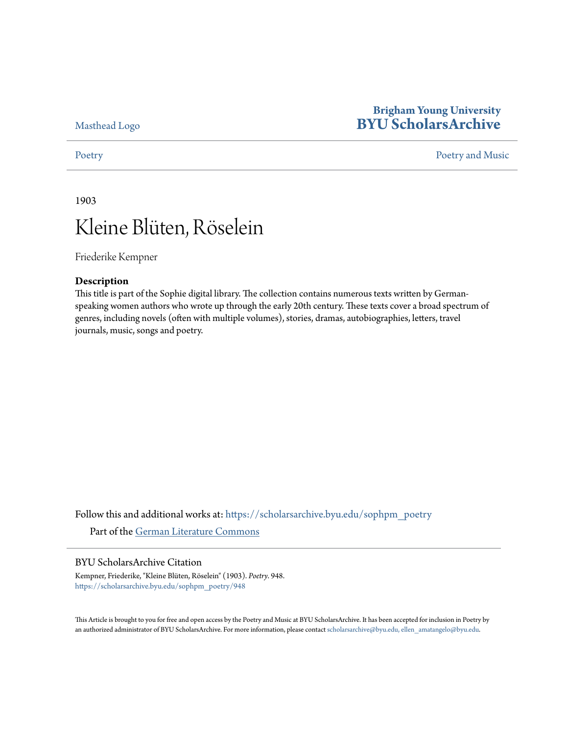[Masthead Logo](http://home.byu.edu/home/?utm_source=scholarsarchive.byu.edu%2Fsophpm_poetry%2F948&utm_medium=PDF&utm_campaign=PDFCoverPages)

## **Brigham Young University [BYU ScholarsArchive](https://scholarsarchive.byu.edu?utm_source=scholarsarchive.byu.edu%2Fsophpm_poetry%2F948&utm_medium=PDF&utm_campaign=PDFCoverPages)**

### [Poetry](https://scholarsarchive.byu.edu/sophpm_poetry?utm_source=scholarsarchive.byu.edu%2Fsophpm_poetry%2F948&utm_medium=PDF&utm_campaign=PDFCoverPages) and Music [Poetry and Music](https://scholarsarchive.byu.edu/sophpm?utm_source=scholarsarchive.byu.edu%2Fsophpm_poetry%2F948&utm_medium=PDF&utm_campaign=PDFCoverPages) Poetry and Music Poetry and Music Poetry and Music Poetry and Music Poetry and Music Poetry and Music Poetry and Music Poetry and Music Poetry and Music Poetry and Music Poetry and Music P

1903

# Kleine Blüten, Röselein

Friederike Kempner

### **Description**

This title is part of the Sophie digital library. The collection contains numerous texts written by Germanspeaking women authors who wrote up through the early 20th century. These texts cover a broad spectrum of genres, including novels (often with multiple volumes), stories, dramas, autobiographies, letters, travel journals, music, songs and poetry.

Follow this and additional works at: [https://scholarsarchive.byu.edu/sophpm\\_poetry](https://scholarsarchive.byu.edu/sophpm_poetry?utm_source=scholarsarchive.byu.edu%2Fsophpm_poetry%2F948&utm_medium=PDF&utm_campaign=PDFCoverPages) Part of the [German Literature Commons](http://network.bepress.com/hgg/discipline/469?utm_source=scholarsarchive.byu.edu%2Fsophpm_poetry%2F948&utm_medium=PDF&utm_campaign=PDFCoverPages)

### BYU ScholarsArchive Citation

Kempner, Friederike, "Kleine Blüten, Röselein" (1903). *Poetry*. 948. [https://scholarsarchive.byu.edu/sophpm\\_poetry/948](https://scholarsarchive.byu.edu/sophpm_poetry/948?utm_source=scholarsarchive.byu.edu%2Fsophpm_poetry%2F948&utm_medium=PDF&utm_campaign=PDFCoverPages)

This Article is brought to you for free and open access by the Poetry and Music at BYU ScholarsArchive. It has been accepted for inclusion in Poetry by an authorized administrator of BYU ScholarsArchive. For more information, please contact [scholarsarchive@byu.edu, ellen\\_amatangelo@byu.edu](mailto:scholarsarchive@byu.edu,%20ellen_amatangelo@byu.edu).